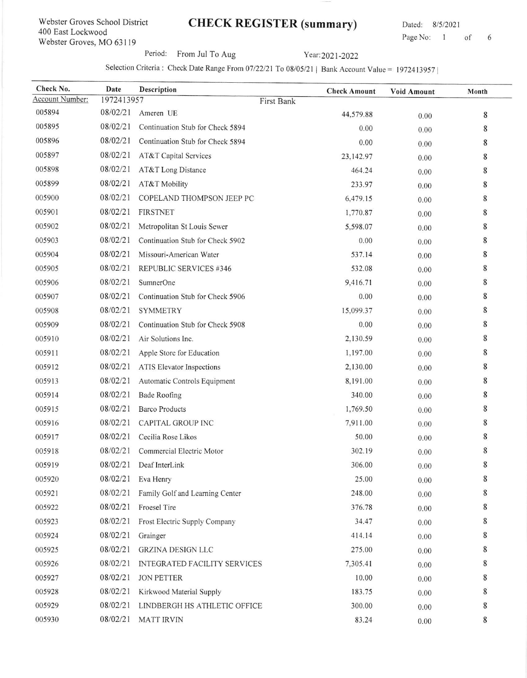## Webster Groves School District 400 East Lockwood Webster Groves, MO 63119

## CHECK REGISTER (summary) Dated: 8/5/2021

Page No: 1 of 6

Period: From Jul To Aug Year: 2021-2022

## Selection Criteria : Check Date Range From  $07/22/21$  To  $08/05/21$  | Bank Account Value = 1972413957 |

| Check No.       | Date       | Description                      |            | <b>Check Amount</b> | <b>Void Amount</b> | Month |
|-----------------|------------|----------------------------------|------------|---------------------|--------------------|-------|
| Account Number: | 1972413957 |                                  | First Bank |                     |                    |       |
| 005894          | 08/02/21   | Ameren UE                        |            | 44,579.88           | 0.00               | 8     |
| 005895          | 08/02/21   | Continuation Stub for Check 5894 |            | 0.00                | 0.00               | 8     |
| 005896          | 08/02/21   | Continuation Stub for Check 5894 |            | 0.00                | 0.00               | 8     |
| 005897          | 08/02/21   | AT&T Capital Services            |            | 23,142.97           | 0.00               | 8     |
| 005898          | 08/02/21   | AT&T Long Distance               |            | 464.24              | 0.00               | 8     |
| 005899          | 08/02/21   | AT&T Mobility                    |            | 233.97              | 0.00               | 8     |
| 005900          | 08/02/21   | COPELAND THOMPSON JEEP PC        |            | 6,479.15            | 0.00               | 8     |
| 005901          | 08/02/21   | <b>FIRSTNET</b>                  |            | 1,770.87            | 0.00               | 8     |
| 005902          | 08/02/21   | Metropolitan St Louis Sewer      |            | 5,598.07            | 0.00               | 8     |
| 005903          | 08/02/21   | Continuation Stub for Check 5902 |            | 0.00                | 0.00               | 8     |
| 005904          | 08/02/21   | Missouri-American Water          |            | 537.14              | 0.00               | 8     |
| 005905          | 08/02/21   | REPUBLIC SERVICES #346           |            | 532.08              | 0.00               | 8     |
| 005906          | 08/02/21   | SumnerOne                        |            | 9,416.71            | 0.00               | 8     |
| 005907          | 08/02/21   | Continuation Stub for Check 5906 |            | 0.00                | 0.00               | 8     |
| 005908          | 08/02/21   | <b>SYMMETRY</b>                  |            | 15,099.37           | 0.00               | 8     |
| 005909          | 08/02/21   | Continuation Stub for Check 5908 |            | 0.00                | 0.00               | 8     |
| 005910          | 08/02/21   | Air Solutions Inc.               |            | 2,130.59            | 0.00               | 8     |
| 005911          | 08/02/21   | Apple Store for Education        |            | 1,197.00            | 0.00               | 8     |
| 005912          | 08/02/21   | <b>ATIS Elevator Inspections</b> |            | 2,130.00            | 0.00               | 8     |
| 005913          | 08/02/21   | Automatic Controls Equipment     |            | 8,191.00            | 0.00               | 8     |
| 005914          | 08/02/21   | <b>Bade Roofing</b>              |            | 340.00              | 0.00               | 8     |
| 005915          | 08/02/21   | <b>Barco Products</b>            |            | 1,769.50            | 0.00               | 8     |
| 005916          | 08/02/21   | <b>CAPITAL GROUP INC</b>         |            | 7,911.00            | 0.00               | 8     |
| 005917          | 08/02/21   | Cecilia Rose Likos               |            | 50.00               | 0.00               | 8     |
| 005918          | 08/02/21   | Commercial Electric Motor        |            | 302.19              | 0.00               | 8     |
| 005919          |            | 08/02/21 Deaf InterLink          |            | 306.00              | 0.00               | 8     |
| 005920          | 08/02/21   | Eva Henry                        |            | 25.00               | 0.00               | 8     |
| 005921          | 08/02/21   | Family Golf and Learning Center  |            | 248.00              | 0.00               | 8     |
| 005922          | 08/02/21   | Froesel Tire                     |            | 376.78              | 0.00               | 8     |
| 005923          | 08/02/21   | Frost Electric Supply Company    |            | 34.47               | 0.00               | 8     |
| 005924          | 08/02/21   | Grainger                         |            | 414.14              | 0.00               | 8     |
| 005925          | 08/02/21   | <b>GRZINA DESIGN LLC</b>         |            | 275.00              | 0.00               | 8     |
| 005926          | 08/02/21   | INTEGRATED FACILITY SERVICES     |            | 7,305.41            | 0.00               | 8     |
| 005927          | 08/02/21   | <b>JON PETTER</b>                |            | 10.00               | 0.00               | 8     |
| 005928          | 08/02/21   | Kirkwood Material Supply         |            | 183.75              | 0.00               | 8     |
| 005929          | 08/02/21   | LINDBERGH HS ATHLETIC OFFICE     |            | 300.00              | 0.00               | 8     |
| 005930          | 08/02/21   | <b>MATT IRVIN</b>                |            | 83.24               | 0.00               | 8     |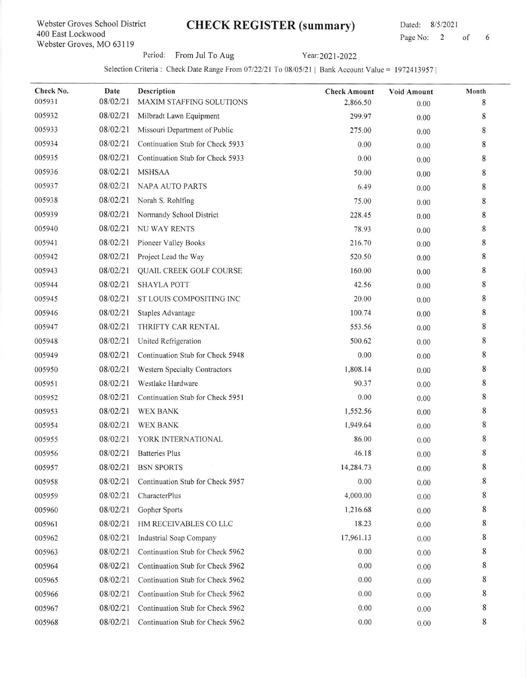#### Webster Croves School District 400 East Lockwood Webster Groves, MO 631 l9

# CHECK REGISTER (summary) Dated: 8/5/2021

Page No: 2 of 6

Period: From Jul To Aug Year: 2021-2022

Selection Criteria: Check Date Range From 07/22/21 To 08/05/21 | Bank Account Value = 1972413957 |

| Check No. | Date     | Description                      | <b>Check Amount</b> | Void Amount | Month       |
|-----------|----------|----------------------------------|---------------------|-------------|-------------|
| 005931    | 08/02/21 | MAXIM STAFFING SOLUTIONS         | 2,866.50            | 0.00        | 8           |
| 005932    | 08/02/21 | Milbradt Lawn Equipment          | 299.97              | 0.00        | 8           |
| 005933    | 08/02/21 | Missouri Department of Public    | 275.00              | 0.00        | 8           |
| 005934    | 08/02/21 | Continuation Stub for Check 5933 | 0.00                | 0.00        | 8           |
| 005935    | 08/02/21 | Continuation Stub for Check 5933 | 0.00                | 0.00        | 8           |
| 005936    | 08/02/21 | <b>MSHSAA</b>                    | 50.00               | 0.00        | $\,$ 8 $\,$ |
| 005937    | 08/02/21 | NAPA AUTO PARTS                  | 6.49                | 0.00        | 8           |
| 005938    | 08/02/21 | Norah S. Rohlfing                | 75.00               | 0.00        | 8           |
| 005939    | 08/02/21 | Normandy School District         | 228.45              | 0.00        | 8           |
| 005940    | 08/02/21 | <b>NU WAY RENTS</b>              | 78.93               | 0.00        | 8           |
| 005941    | 08/02/21 | Pioneer Valley Books             | 216.70              | 0.00        | 8           |
| 005942    | 08/02/21 | Project Lead the Way             | 520.50              | 0.00        | 8           |
| 005943    | 08/02/21 | QUAIL CREEK GOLF COURSE          | 160.00              | 0.00        | 8           |
| 005944    | 08/02/21 | <b>SHAYLA POTT</b>               | 42.56               | 0.00        | 8           |
| 005945    | 08/02/21 | ST LOUIS COMPOSITING INC         | 20.00               | 0.00        | 8           |
| 005946    | 08/02/21 | Staples Advantage                | 100.74              | 0.00        | 8           |
| 005947    | 08/02/21 | THRIFTY CAR RENTAL               | 553.56              | 0.00        | 8           |
| 005948    | 08/02/21 | United Refrigeration             | 500.62              | 0.00        | 8           |
| 005949    | 08/02/21 | Continuation Stub for Check 5948 | 0.00                | 0.00        | 8           |
| 005950    | 08/02/21 | Western Specialty Contractors    | 1,808.14            | 0.00        | 8           |
| 005951    | 08/02/21 | Westlake Hardware                | 90.37               | 0.00        | 8           |
| 005952    | 08/02/21 | Continuation Stub for Check 5951 | 0.00                | 0.00        | 8           |
| 005953    | 08/02/21 | <b>WEX BANK</b>                  | 1,552.56            | 0.00        | 8           |
| 005954    | 08/02/21 | <b>WEX BANK</b>                  | 1,949.64            | 0.00        | 8           |
| 005955    | 08/02/21 | YORK INTERNATIONAL               | 86.00               | 0.00        | 8           |
| 005956    | 08/02/21 | <b>Batteries Plus</b>            | 46.18               | 0.00        | 8           |
| 005957    |          | 08/02/21 BSN SPORTS              | 14,284.73           | 0.00        | 8           |
| 005958    | 08/02/21 | Continuation Stub for Check 5957 | 0.00                | 0.00        | 8           |
| 005959    | 08/02/21 | CharacterPlus                    | 4,000.00            | 0.00        | 8           |
| 005960    | 08/02/21 | Gopher Sports                    | 1,216.68            | 0.00        | 8           |
| 005961    | 08/02/21 | HM RECEIVABLES CO LLC            | 18.23               | 0.00        | 8           |
| 005962    | 08/02/21 | <b>Industrial Soap Company</b>   | 17,961.13           | 0.00        | 8           |
| 005963    | 08/02/21 | Continuation Stub for Check 5962 | 0.00                | 0.00        | 8           |
| 005964    | 08/02/21 | Continuation Stub for Check 5962 | 0.00                | 0.00        | 8           |
| 005965    | 08/02/21 | Continuation Stub for Check 5962 | 0.00                | 0.00        | 8           |
| 005966    | 08/02/21 | Continuation Stub for Check 5962 | 0.00                | 0.00        | 8           |
| 005967    | 08/02/21 | Continuation Stub for Check 5962 | 0.00                | 0.00        | 8           |
| 005968    | 08/02/21 | Continuation Stub for Check 5962 | 0.00                | 0.00        | 8           |